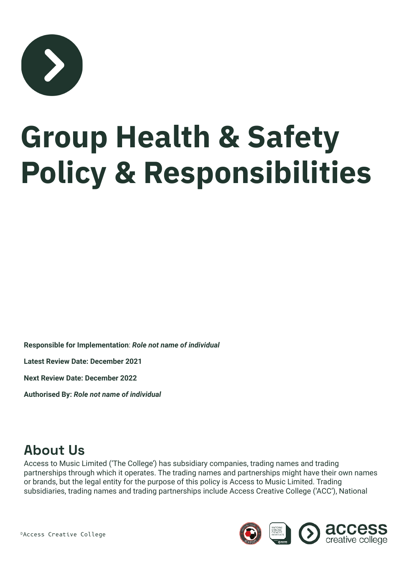

# **Group Health & Safety Policy & Responsibilities**

**Responsible for Implementation**: *Role not name of individual*

**Latest Review Date: December 2021**

**Next Review Date: December 2022**

**Authorised By:** *Role not name of individual*

#### **About Us**

Access to Music Limited ('The College') has subsidiary companies, trading names and trading partnerships through which it operates. The trading names and partnerships might have their own names or brands, but the legal entity for the purpose of this policy is Access to Music Limited. Trading subsidiaries, trading names and trading partnerships include Access Creative College ('ACC'), National

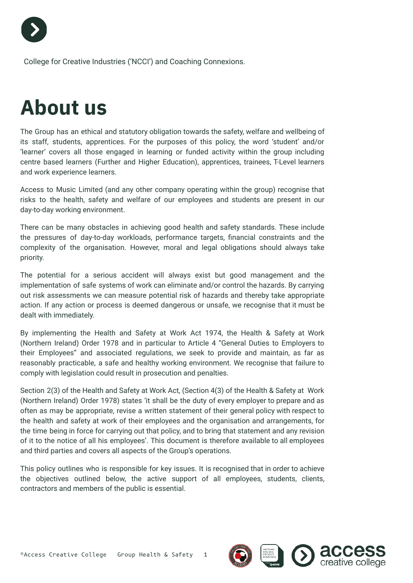

College for Creative Industries ('NCCI') and Coaching Connexions.

# **About us**

The Group has an ethical and statutory obligation towards the safety, welfare and wellbeing of its staff, students, apprentices. For the purposes of this policy, the word 'student' and/or 'learner' covers all those engaged in learning or funded activity within the group including centre based learners (Further and Higher Education), apprentices, trainees, T-Level learners and work experience learners.

Access to Music Limited (and any other company operating within the group) recognise that risks to the health, safety and welfare of our employees and students are present in our day-to-day working environment.

There can be many obstacles in achieving good health and safety standards. These include the pressures of day-to-day workloads, performance targets, financial constraints and the complexity of the organisation. However, moral and legal obligations should always take priority.

The potential for a serious accident will always exist but good management and the implementation of safe systems of work can eliminate and/or control the hazards. By carrying out risk assessments we can measure potential risk of hazards and thereby take appropriate action. If any action or process is deemed dangerous or unsafe, we recognise that it must be dealt with immediately.

By implementing the Health and Safety at Work Act 1974, the Health & Safety at Work (Northern Ireland) Order 1978 and in particular to Article 4 "General Duties to Employers to their Employees" and associated regulations, we seek to provide and maintain, as far as reasonably practicable, a safe and healthy working environment. We recognise that failure to comply with legislation could result in prosecution and penalties.

Section 2(3) of the Health and Safety at Work Act, (Section 4(3) of the Health & Safety at Work (Northern Ireland) Order 1978) states 'it shall be the duty of every employer to prepare and as often as may be appropriate, revise a written statement of their general policy with respect to the health and safety at work of their employees and the organisation and arrangements, for the time being in force for carrying out that policy, and to bring that statement and any revision of it to the notice of all his employees'. This document is therefore available to all employees and third parties and covers all aspects of the Group's operations.

This policy outlines who is responsible for key issues. It is recognised that in order to achieve the objectives outlined below, the active support of all employees, students, clients, contractors and members of the public is essential.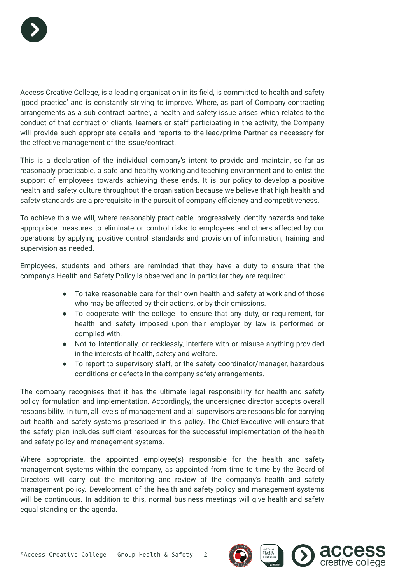

Access Creative College, is a leading organisation in its field, is committed to health and safety 'good practice' and is constantly striving to improve. Where, as part of Company contracting arrangements as a sub contract partner, a health and safety issue arises which relates to the conduct of that contract or clients, learners or staff participating in the activity, the Company will provide such appropriate details and reports to the lead/prime Partner as necessary for the effective management of the issue/contract.

This is a declaration of the individual company's intent to provide and maintain, so far as reasonably practicable, a safe and healthy working and teaching environment and to enlist the support of employees towards achieving these ends. It is our policy to develop a positive health and safety culture throughout the organisation because we believe that high health and safety standards are a prerequisite in the pursuit of company efficiency and competitiveness.

To achieve this we will, where reasonably practicable, progressively identify hazards and take appropriate measures to eliminate or control risks to employees and others affected by our operations by applying positive control standards and provision of information, training and supervision as needed.

Employees, students and others are reminded that they have a duty to ensure that the company's Health and Safety Policy is observed and in particular they are required:

- To take reasonable care for their own health and safety at work and of those who may be affected by their actions, or by their omissions.
- To cooperate with the college to ensure that any duty, or requirement, for health and safety imposed upon their employer by law is performed or complied with.
- Not to intentionally, or recklessly, interfere with or misuse anything provided in the interests of health, safety and welfare.
- To report to supervisory staff, or the safety coordinator/manager, hazardous conditions or defects in the company safety arrangements.

The company recognises that it has the ultimate legal responsibility for health and safety policy formulation and implementation. Accordingly, the undersigned director accepts overall responsibility. In turn, all levels of management and all supervisors are responsible for carrying out health and safety systems prescribed in this policy. The Chief Executive will ensure that the safety plan includes sufficient resources for the successful implementation of the health and safety policy and management systems.

Where appropriate, the appointed employee(s) responsible for the health and safety management systems within the company, as appointed from time to time by the Board of Directors will carry out the monitoring and review of the company's health and safety management policy. Development of the health and safety policy and management systems will be continuous. In addition to this, normal business meetings will give health and safety equal standing on the agenda.



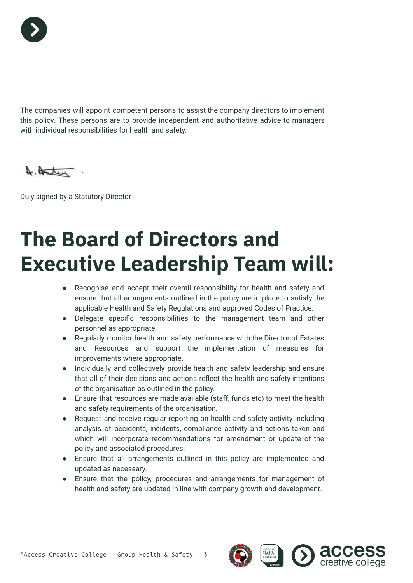

The companies will appoint competent persons to assist the company directors to implement this policy. These persons are to provide independent and authoritative advice to managers with individual responsibilities for health and safety.

A. Hater

Duly signed by a Statutory Director

# **The Board of Directors and Executive Leadership Team will:**

- Recognise and accept their overall responsibility for health and safety and ensure that all arrangements outlined in the policy are in place to satisfy the applicable Health and Safety Regulations and approved Codes of Practice.
- Delegate specific responsibilities to the management team and other personnel as appropriate.
- Regularly monitor health and safety performance with the Director of Estates and Resources and support the implementation of measures for improvements where appropriate.
- Individually and collectively provide health and safety leadership and ensure that all of their decisions and actions reflect the health and safety intentions of the organisation as outlined in the policy.
- Ensure that resources are made available (staff, funds etc) to meet the health and safety requirements of the organisation.
- Request and receive regular reporting on health and safety activity including analysis of accidents, incidents, compliance activity and actions taken and which will incorporate recommendations for amendment or update of the policy and associated procedures.
- Ensure that all arrangements outlined in this policy are implemented and updated as necessary.
- Ensure that the policy, procedures and arrangements for management of health and safety are updated in line with company growth and development.

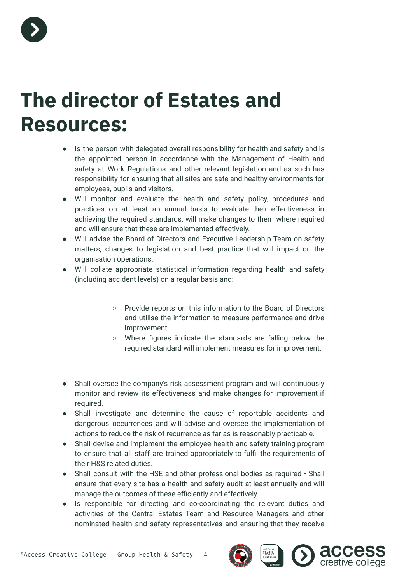

### **The director of Estates and Resources:**

- Is the person with delegated overall responsibility for health and safety and is the appointed person in accordance with the Management of Health and safety at Work Regulations and other relevant legislation and as such has responsibility for ensuring that all sites are safe and healthy environments for employees, pupils and visitors.
- Will monitor and evaluate the health and safety policy, procedures and practices on at least an annual basis to evaluate their effectiveness in achieving the required standards; will make changes to them where required and will ensure that these are implemented effectively.
- Will advise the Board of Directors and Executive Leadership Team on safety matters, changes to legislation and best practice that will impact on the organisation operations.
- Will collate appropriate statistical information regarding health and safety (including accident levels) on a regular basis and:
	- Provide reports on this information to the Board of Directors and utilise the information to measure performance and drive improvement.
	- Where figures indicate the standards are falling below the required standard will implement measures for improvement.
- Shall oversee the company's risk assessment program and will continuously monitor and review its effectiveness and make changes for improvement if required.
- Shall investigate and determine the cause of reportable accidents and dangerous occurrences and will advise and oversee the implementation of actions to reduce the risk of recurrence as far as is reasonably practicable.
- Shall devise and implement the employee health and safety training program to ensure that all staff are trained appropriately to fulfil the requirements of their H&S related duties.
- Shall consult with the HSE and other professional bodies as required Shall ensure that every site has a health and safety audit at least annually and will manage the outcomes of these efficiently and effectively.
- Is responsible for directing and co-coordinating the relevant duties and activities of the Central Estates Team and Resource Managers and other nominated health and safety representatives and ensuring that they receive



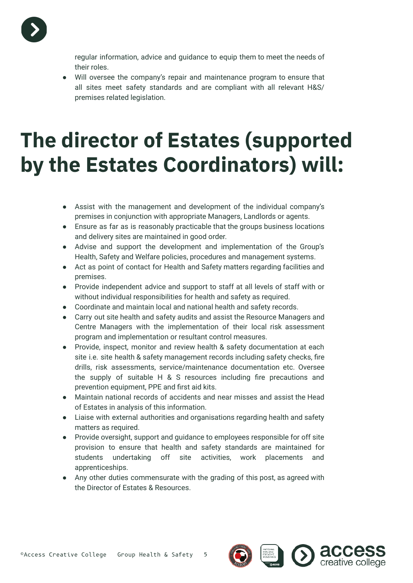

regular information, advice and guidance to equip them to meet the needs of their roles.

Will oversee the company's repair and maintenance program to ensure that all sites meet safety standards and are compliant with all relevant H&S/ premises related legislation.

# **The director of Estates (supported by the Estates Coordinators) will:**

- Assist with the management and development of the individual company's premises in conjunction with appropriate Managers, Landlords or agents.
- Ensure as far as is reasonably practicable that the groups business locations and delivery sites are maintained in good order.
- Advise and support the development and implementation of the Group's Health, Safety and Welfare policies, procedures and management systems.
- Act as point of contact for Health and Safety matters regarding facilities and premises.
- Provide independent advice and support to staff at all levels of staff with or without individual responsibilities for health and safety as required.
- Coordinate and maintain local and national health and safety records.
- Carry out site health and safety audits and assist the Resource Managers and Centre Managers with the implementation of their local risk assessment program and implementation or resultant control measures.
- Provide, inspect, monitor and review health & safety documentation at each site i.e. site health & safety management records including safety checks, fire drills, risk assessments, service/maintenance documentation etc. Oversee the supply of suitable H & S resources including fire precautions and prevention equipment, PPE and first aid kits.
- Maintain national records of accidents and near misses and assist the Head of Estates in analysis of this information.
- Liaise with external authorities and organisations regarding health and safety matters as required.
- Provide oversight, support and guidance to employees responsible for off site provision to ensure that health and safety standards are maintained for students undertaking off site activities, work placements and apprenticeships.
- Any other duties commensurate with the grading of this post, as agreed with the Director of Estates & Resources.

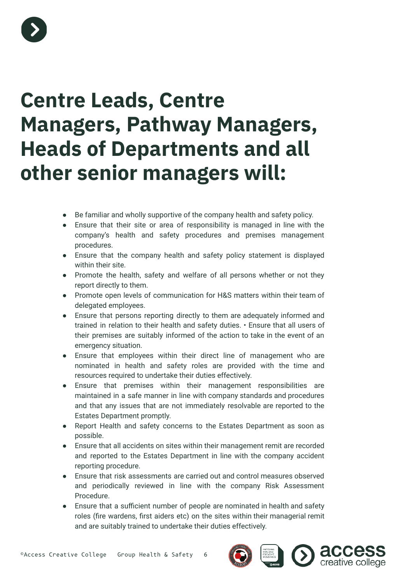

# **Centre Leads, Centre Managers, Pathway Managers, Heads of Departments and all other senior managers will:**

- Be familiar and wholly supportive of the company health and safety policy.
- Ensure that their site or area of responsibility is managed in line with the company's health and safety procedures and premises management procedures.
- Ensure that the company health and safety policy statement is displayed within their site.
- Promote the health, safety and welfare of all persons whether or not they report directly to them.
- Promote open levels of communication for H&S matters within their team of delegated employees.
- Ensure that persons reporting directly to them are adequately informed and trained in relation to their health and safety duties. • Ensure that all users of their premises are suitably informed of the action to take in the event of an emergency situation.
- Ensure that employees within their direct line of management who are nominated in health and safety roles are provided with the time and resources required to undertake their duties effectively.
- Ensure that premises within their management responsibilities are maintained in a safe manner in line with company standards and procedures and that any issues that are not immediately resolvable are reported to the Estates Department promptly.
- Report Health and safety concerns to the Estates Department as soon as possible.
- Ensure that all accidents on sites within their management remit are recorded and reported to the Estates Department in line with the company accident reporting procedure.
- Ensure that risk assessments are carried out and control measures observed and periodically reviewed in line with the company Risk Assessment Procedure.
- Ensure that a sufficient number of people are nominated in health and safety roles (fire wardens, first aiders etc) on the sites within their managerial remit and are suitably trained to undertake their duties effectively.



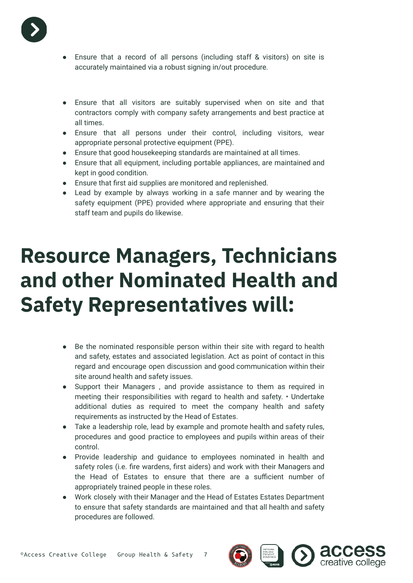

- Ensure that a record of all persons (including staff & visitors) on site is accurately maintained via a robust signing in/out procedure.
- Ensure that all visitors are suitably supervised when on site and that contractors comply with company safety arrangements and best practice at all times.
- Ensure that all persons under their control, including visitors, wear appropriate personal protective equipment (PPE).
- Ensure that good housekeeping standards are maintained at all times.
- Ensure that all equipment, including portable appliances, are maintained and kept in good condition.
- Ensure that first aid supplies are monitored and replenished.
- Lead by example by always working in a safe manner and by wearing the safety equipment (PPE) provided where appropriate and ensuring that their staff team and pupils do likewise.

# **Resource Managers, Technicians and other Nominated Health and Safety Representatives will:**

- Be the nominated responsible person within their site with regard to health and safety, estates and associated legislation. Act as point of contact in this regard and encourage open discussion and good communication within their site around health and safety issues.
- Support their Managers , and provide assistance to them as required in meeting their responsibilities with regard to health and safety. • Undertake additional duties as required to meet the company health and safety requirements as instructed by the Head of Estates.
- Take a leadership role, lead by example and promote health and safety rules, procedures and good practice to employees and pupils within areas of their control.
- Provide leadership and guidance to employees nominated in health and safety roles (i.e. fire wardens, first aiders) and work with their Managers and the Head of Estates to ensure that there are a sufficient number of appropriately trained people in these roles.
- Work closely with their Manager and the Head of Estates Estates Department to ensure that safety standards are maintained and that all health and safety procedures are followed.